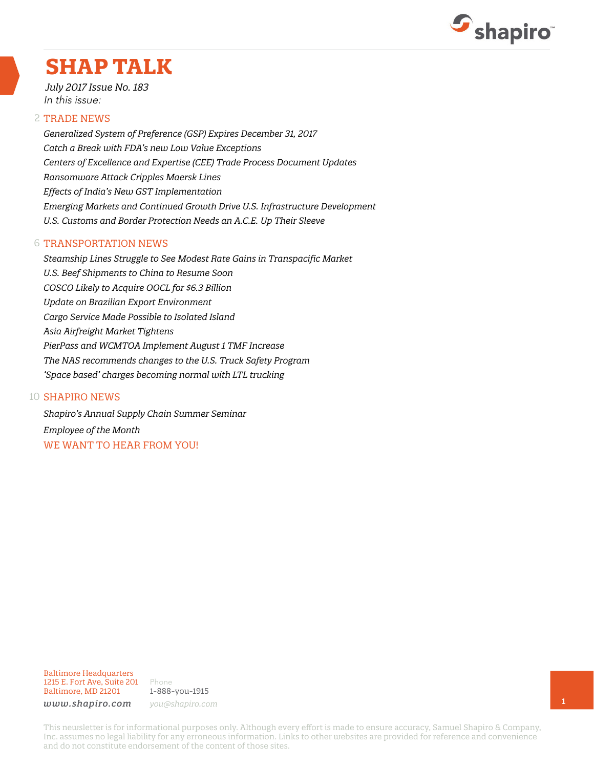

# **SHAP TALK**

*July 2017 Issue No. 183* In this issue:

#### 2 TRADE NEWS

*Generalized System of Preference (GSP) Expires December 31, 2017 Catch a Break with FDA's new Low Value Exceptions Centers of Excellence and Expertise (CEE) Trade Process Document Updates Ransomware Attack Cripples Maersk Lines Effects of India's New GST Implementation Emerging Markets and Continued Growth Drive U.S. Infrastructure Development U.S. Customs and Border Protection Needs an A.C.E. Up Their Sleeve*

#### 6 TRANSPORTATION NEWS

*Steamship Lines Struggle to See Modest Rate Gains in Transpacific Market U.S. Beef Shipments to China to Resume Soon COSCO Likely to Acquire OOCL for \$6.3 Billion Update on Brazilian Export Environment Cargo Service Made Possible to Isolated Island Asia Airfreight Market Tightens PierPass and WCMTOA Implement August 1 TMF Increase The NAS recommends changes to the U.S. Truck Safety Program 'Space based' charges becoming normal with LTL trucking*

#### 10 **SHAPIRO NEWS**

*Shapiro's Annual Supply Chain Summer Seminar Employee of the Month* WE WANT TO HEAR FROM YOU!

#### Baltimore Headquarters 1215 E. Fort Ave, Suite 201 Baltimore, MD 21201

Phone 1-888-you-1915 *www.shapiro.com you@shapiro.com*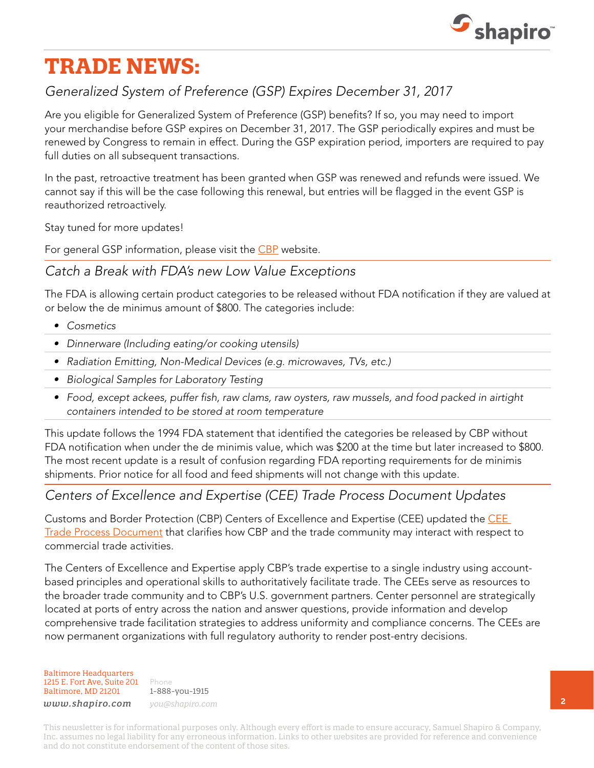

# **TRADE NEWS:**

## *Generalized System of Preference (GSP) Expires December 31, 2017*

Are you eligible for Generalized System of Preference (GSP) benefits? If so, you may need to import your merchandise before GSP expires on December 31, 2017. The GSP periodically expires and must be renewed by Congress to remain in effect. During the GSP expiration period, importers are required to pay full duties on all subsequent transactions.

In the past, retroactive treatment has been granted when GSP was renewed and refunds were issued. We cannot say if this will be the case following this renewal, but entries will be flagged in the event GSP is reauthorized retroactively.

Stay tuned for more updates!

For general GSP information, please visit the [CBP](https://www.cbp.gov/trade/priority-issues/trade-agreements/special-trade-legislation/generalized-system-preferences) website.

### *Catch a Break with FDA's new Low Value Exceptions*

The FDA is allowing certain product categories to be released without FDA notification if they are valued at or below the de minimus amount of \$800. The categories include:

- *• Cosmetics*
- *• Dinnerware (Including eating/or cooking utensils)*
- *• Radiation Emitting, Non-Medical Devices (e.g. microwaves, TVs, etc.)*
- *• Biological Samples for Laboratory Testing*
- *• Food, except ackees, puffer fish, raw clams, raw oysters, raw mussels, and food packed in airtight containers intended to be stored at room temperature*

This update follows the 1994 FDA statement that identified the categories be released by CBP without FDA notification when under the de minimis value, which was \$200 at the time but later increased to \$800. The most recent update is a result of confusion regarding FDA reporting requirements for de minimis shipments. Prior notice for all food and feed shipments will not change with this update.

#### *Centers of Excellence and Expertise (CEE) Trade Process Document Updates*

Customs and Border Protection (CBP) Centers of Excellence and Expertise (CEE) updated the [CEE](https://www.cbp.gov/sites/default/files/assets/documents/2017-Jun/Center-Trade-Process-Doc.pdf)  [Trade Process Document](https://www.cbp.gov/sites/default/files/assets/documents/2017-Jun/Center-Trade-Process-Doc.pdf) that clarifies how CBP and the trade community may interact with respect to commercial trade activities.

The Centers of Excellence and Expertise apply CBP's trade expertise to a single industry using accountbased principles and operational skills to authoritatively facilitate trade. The CEEs serve as resources to the broader trade community and to CBP's U.S. government partners. Center personnel are strategically located at ports of entry across the nation and answer questions, provide information and develop comprehensive trade facilitation strategies to address uniformity and compliance concerns. The CEEs are now permanent organizations with full regulatory authority to render post-entry decisions.

Baltimore Headquarters 1215 E. Fort Ave, Suite 201 Baltimore, MD 21201

Phone 1-888-you-1915 *www.shapiro.com you@shapiro.com*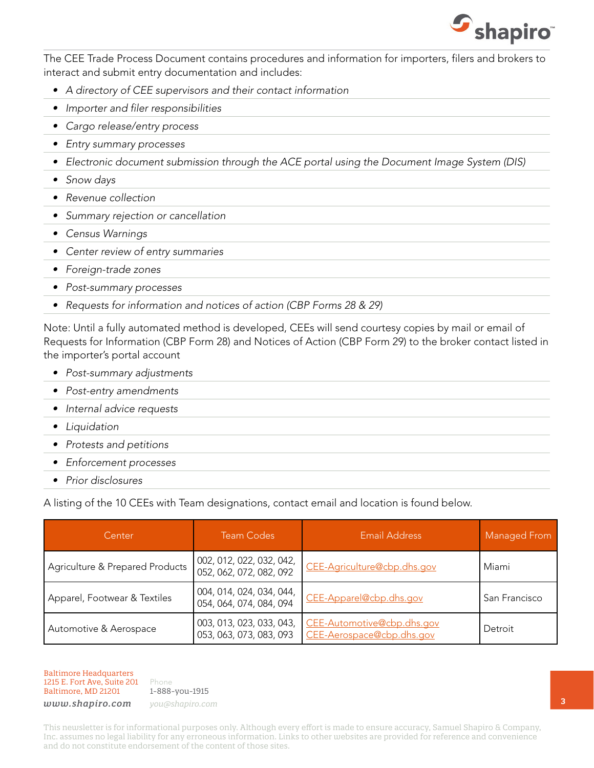

The CEE Trade Process Document contains procedures and information for importers, filers and brokers to interact and submit entry documentation and includes:

- *• A directory of CEE supervisors and their contact information*
- *• Importer and filer responsibilities*
- *• Cargo release/entry process*
- *• Entry summary processes*
- *• Electronic document submission through the ACE portal using the Document Image System (DIS)*
- *• Snow days*
- *• Revenue collection*
- *• Summary rejection or cancellation*
- *• Census Warnings*
- *• Center review of entry summaries*
- *• Foreign-trade zones*
- *• Post-summary processes*
- *• Requests for information and notices of action (CBP Forms 28 & 29)*

Note: Until a fully automated method is developed, CEEs will send courtesy copies by mail or email of Requests for Information (CBP Form 28) and Notices of Action (CBP Form 29) to the broker contact listed in the importer's portal account

- *• Post-summary adjustments*
- *• Post-entry amendments*
- *• Internal advice requests*
- *• Liquidation*
- *• Protests and petitions*
- *• Enforcement processes*
- *• Prior disclosures*

A listing of the 10 CEEs with Team designations, contact email and location is found below.

| Center                          | <b>Team Codes</b>                                   | Email Address                                           | Managed From  |
|---------------------------------|-----------------------------------------------------|---------------------------------------------------------|---------------|
| Agriculture & Prepared Products | 002, 012, 022, 032, 042,<br>052, 062, 072, 082, 092 | CEE-Agriculture@cbp.dhs.gov                             | Miami         |
| Apparel, Footwear & Textiles    | 004, 014, 024, 034, 044,<br>054, 064, 074, 084, 094 | CEE-Apparel@cbp.dhs.gov                                 | San Francisco |
| Automotive & Aerospace          | 003, 013, 023, 033, 043,<br>053, 063, 073, 083, 093 | CEE-Automotive@cbp.dhs.gov<br>CEE-Aerospace@cbp.dhs.gov | Detroit       |

Baltimore Headquarters 1215 E. Fort Ave, Suite 201 Baltimore, MD 21201

Phone 1-888-you-1915

*www.shapiro.com you@shapiro.com*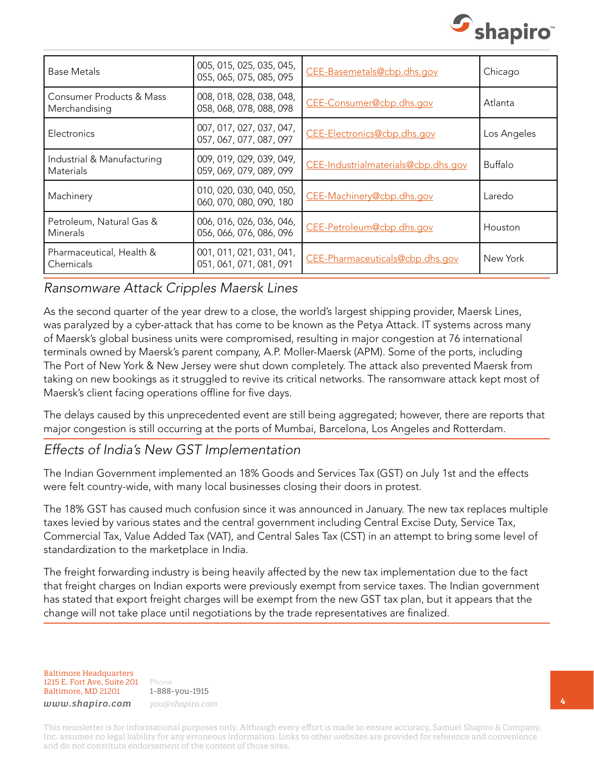

| Base Metals                                          | 005, 015, 025, 035, 045,<br>055, 065, 075, 085, 095 | CEE-Basemetals@cbp.dhs.gov          | Chicago        |
|------------------------------------------------------|-----------------------------------------------------|-------------------------------------|----------------|
| <b>Consumer Products &amp; Mass</b><br>Merchandising | 008, 018, 028, 038, 048,<br>058, 068, 078, 088, 098 | CEE-Consumer@cbp.dhs.gov            | Atlanta        |
| Electronics                                          | 007, 017, 027, 037, 047,<br>057, 067, 077, 087, 097 | CEE-Electronics@cbp.dhs.gov         | Los Angeles    |
| Industrial & Manufacturing<br><b>Materials</b>       | 009, 019, 029, 039, 049,<br>059, 069, 079, 089, 099 | CEE-Industrialmaterials@cbp.dhs.gov | <b>Buffalo</b> |
| Machinery                                            | 010, 020, 030, 040, 050,<br>060, 070, 080, 090, 180 | CEE-Machinery@cbp.dhs.gov           | Laredo         |
| Petroleum, Natural Gas &<br>Minerals                 | 006, 016, 026, 036, 046,<br>056, 066, 076, 086, 096 | CEE-Petroleum@cbp.dhs.gov           | Houston        |
| Pharmaceutical, Health &<br>Chemicals                | 001, 011, 021, 031, 041,<br>051, 061, 071, 081, 091 | CEE-Pharmaceuticals@cbp.dhs.gov     | New York       |

#### *Ransomware Attack Cripples Maersk Lines*

As the second quarter of the year drew to a close, the world's largest shipping provider, Maersk Lines, was paralyzed by a cyber-attack that has come to be known as the Petya Attack. IT systems across many of Maersk's global business units were compromised, resulting in major congestion at 76 international terminals owned by Maersk's parent company, A.P. Moller-Maersk (APM). Some of the ports, including The Port of New York & New Jersey were shut down completely. The attack also prevented Maersk from taking on new bookings as it struggled to revive its critical networks. The ransomware attack kept most of Maersk's client facing operations offline for five days.

The delays caused by this unprecedented event are still being aggregated; however, there are reports that major congestion is still occurring at the ports of Mumbai, Barcelona, Los Angeles and Rotterdam.

#### *Effects of India's New GST Implementation*

The Indian Government implemented an 18% Goods and Services Tax (GST) on July 1st and the effects were felt country-wide, with many local businesses closing their doors in protest.

The 18% GST has caused much confusion since it was announced in January. The new tax replaces multiple taxes levied by various states and the central government including Central Excise Duty, Service Tax, Commercial Tax, Value Added Tax (VAT), and Central Sales Tax (CST) in an attempt to bring some level of standardization to the marketplace in India.

The freight forwarding industry is being heavily affected by the new tax implementation due to the fact that freight charges on Indian exports were previously exempt from service taxes. The Indian government has stated that export freight charges will be exempt from the new GST tax plan, but it appears that the change will not take place until negotiations by the trade representatives are finalized.

Baltimore Headquarters 1215 E. Fort Ave, Suite 201 Baltimore, MD 21201

Phone 1-888-you-1915 *www.shapiro.com you@shapiro.com*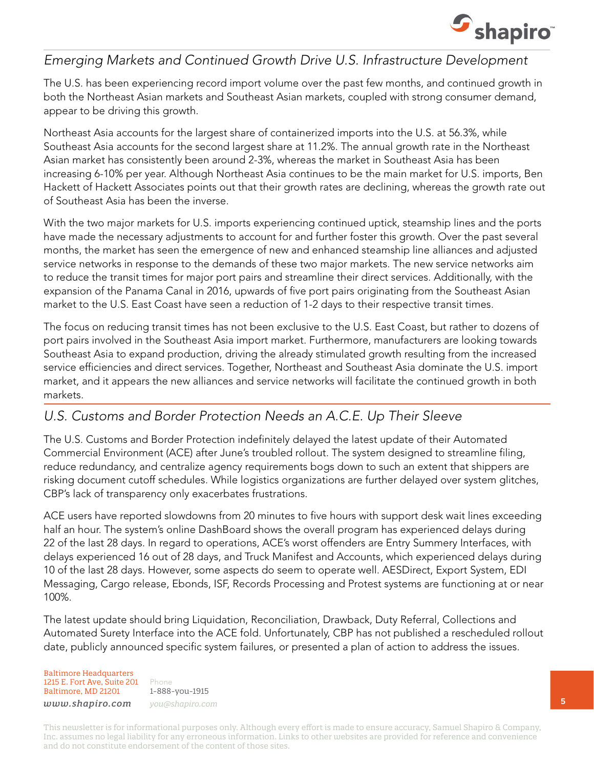

### *Emerging Markets and Continued Growth Drive U.S. Infrastructure Development*

The U.S. has been experiencing record import volume over the past few months, and continued growth in both the Northeast Asian markets and Southeast Asian markets, coupled with strong consumer demand, appear to be driving this growth.

Northeast Asia accounts for the largest share of containerized imports into the U.S. at 56.3%, while Southeast Asia accounts for the second largest share at 11.2%. The annual growth rate in the Northeast Asian market has consistently been around 2-3%, whereas the market in Southeast Asia has been increasing 6-10% per year. Although Northeast Asia continues to be the main market for U.S. imports, Ben Hackett of Hackett Associates points out that their growth rates are declining, whereas the growth rate out of Southeast Asia has been the inverse.

With the two major markets for U.S. imports experiencing continued uptick, steamship lines and the ports have made the necessary adjustments to account for and further foster this growth. Over the past several months, the market has seen the emergence of new and enhanced steamship line alliances and adjusted service networks in response to the demands of these two major markets. The new service networks aim to reduce the transit times for major port pairs and streamline their direct services. Additionally, with the expansion of the Panama Canal in 2016, upwards of five port pairs originating from the Southeast Asian market to the U.S. East Coast have seen a reduction of 1-2 days to their respective transit times.

The focus on reducing transit times has not been exclusive to the U.S. East Coast, but rather to dozens of port pairs involved in the Southeast Asia import market. Furthermore, manufacturers are looking towards Southeast Asia to expand production, driving the already stimulated growth resulting from the increased service efficiencies and direct services. Together, Northeast and Southeast Asia dominate the U.S. import market, and it appears the new alliances and service networks will facilitate the continued growth in both markets.

### *U.S. Customs and Border Protection Needs an A.C.E. Up Their Sleeve*

The U.S. Customs and Border Protection indefinitely delayed the latest update of their Automated Commercial Environment (ACE) after June's troubled rollout. The system designed to streamline filing, reduce redundancy, and centralize agency requirements bogs down to such an extent that shippers are risking document cutoff schedules. While logistics organizations are further delayed over system glitches, CBP's lack of transparency only exacerbates frustrations.

ACE users have reported slowdowns from 20 minutes to five hours with support desk wait lines exceeding half an hour. The system's online DashBoard shows the overall program has experienced delays during 22 of the last 28 days. In regard to operations, ACE's worst offenders are Entry Summery Interfaces, with delays experienced 16 out of 28 days, and Truck Manifest and Accounts, which experienced delays during 10 of the last 28 days. However, some aspects do seem to operate well. AESDirect, Export System, EDI Messaging, Cargo release, Ebonds, ISF, Records Processing and Protest systems are functioning at or near 100%.

The latest update should bring Liquidation, Reconciliation, Drawback, Duty Referral, Collections and Automated Surety Interface into the ACE fold. Unfortunately, CBP has not published a rescheduled rollout date, publicly announced specific system failures, or presented a plan of action to address the issues.

Baltimore Headquarters 1215 E. Fort Ave, Suite 201 Baltimore, MD 21201

Phone 1-888-you-1915 *www.shapiro.com you@shapiro.com*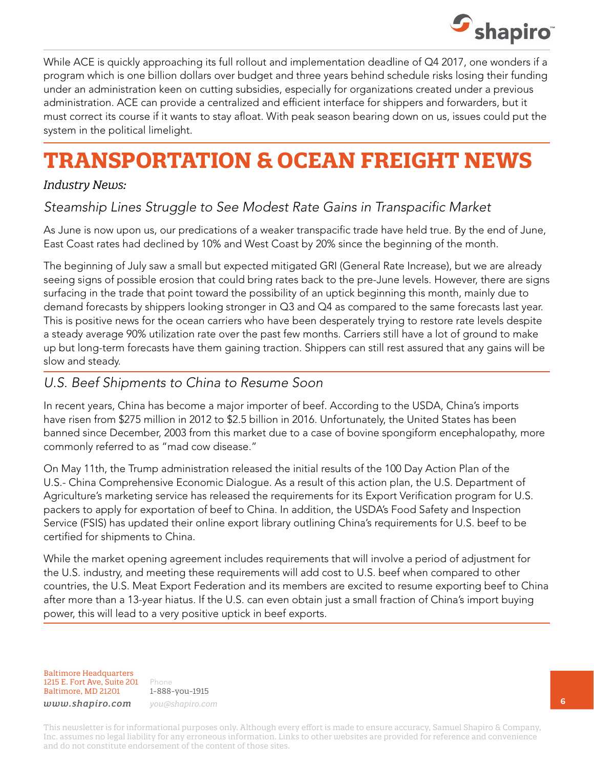

While ACE is quickly approaching its full rollout and implementation deadline of Q4 2017, one wonders if a program which is one billion dollars over budget and three years behind schedule risks losing their funding under an administration keen on cutting subsidies, especially for organizations created under a previous administration. ACE can provide a centralized and efficient interface for shippers and forwarders, but it must correct its course if it wants to stay afloat. With peak season bearing down on us, issues could put the system in the political limelight.

# **TRANSPORTATION & OCEAN FREIGHT NEWS**

#### *Industry News:*

## *Steamship Lines Struggle to See Modest Rate Gains in Transpacific Market*

As June is now upon us, our predications of a weaker transpacific trade have held true. By the end of June, East Coast rates had declined by 10% and West Coast by 20% since the beginning of the month.

The beginning of July saw a small but expected mitigated GRI (General Rate Increase), but we are already seeing signs of possible erosion that could bring rates back to the pre-June levels. However, there are signs surfacing in the trade that point toward the possibility of an uptick beginning this month, mainly due to demand forecasts by shippers looking stronger in Q3 and Q4 as compared to the same forecasts last year. This is positive news for the ocean carriers who have been desperately trying to restore rate levels despite a steady average 90% utilization rate over the past few months. Carriers still have a lot of ground to make up but long-term forecasts have them gaining traction. Shippers can still rest assured that any gains will be slow and steady.

#### *U.S. Beef Shipments to China to Resume Soon*

In recent years, China has become a major importer of beef. According to the USDA, China's imports have risen from \$275 million in 2012 to \$2.5 billion in 2016. Unfortunately, the United States has been banned since December, 2003 from this market due to a case of bovine spongiform encephalopathy, more commonly referred to as "mad cow disease."

On May 11th, the Trump administration released the initial results of the 100 Day Action Plan of the U.S.- China Comprehensive Economic Dialogue. As a result of this action plan, the U.S. Department of Agriculture's marketing service has released the requirements for its Export Verification program for U.S. packers to apply for exportation of beef to China. In addition, the USDA's Food Safety and Inspection Service (FSIS) has updated their online export library outlining China's requirements for U.S. beef to be certified for shipments to China.

While the market opening agreement includes requirements that will involve a period of adjustment for the U.S. industry, and meeting these requirements will add cost to U.S. beef when compared to other countries, the U.S. Meat Export Federation and its members are excited to resume exporting beef to China after more than a 13-year hiatus. If the U.S. can even obtain just a small fraction of China's import buying power, this will lead to a very positive uptick in beef exports.

Baltimore Headquarters 1215 E. Fort Ave, Suite 201 Baltimore, MD 21201

Phone 1-888-you-1915 *www.shapiro.com you@shapiro.com*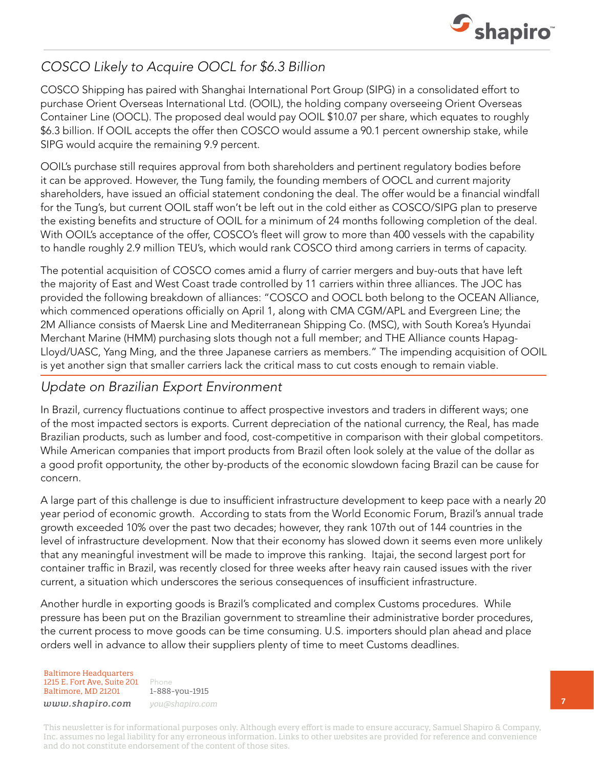

## *COSCO Likely to Acquire OOCL for \$6.3 Billion*

COSCO Shipping has paired with Shanghai International Port Group (SIPG) in a consolidated effort to purchase Orient Overseas International Ltd. (OOIL), the holding company overseeing Orient Overseas Container Line (OOCL). The proposed deal would pay OOIL \$10.07 per share, which equates to roughly \$6.3 billion. If OOIL accepts the offer then COSCO would assume a 90.1 percent ownership stake, while SIPG would acquire the remaining 9.9 percent.

OOIL's purchase still requires approval from both shareholders and pertinent regulatory bodies before it can be approved. However, the Tung family, the founding members of OOCL and current majority shareholders, have issued an official statement condoning the deal. The offer would be a financial windfall for the Tung's, but current OOIL staff won't be left out in the cold either as COSCO/SIPG plan to preserve the existing benefits and structure of OOIL for a minimum of 24 months following completion of the deal. With OOIL's acceptance of the offer, COSCO's fleet will grow to more than 400 vessels with the capability to handle roughly 2.9 million TEU's, which would rank COSCO third among carriers in terms of capacity.

The potential acquisition of COSCO comes amid a flurry of carrier mergers and buy-outs that have left the majority of East and West Coast trade controlled by 11 carriers within three alliances. The JOC has provided the following breakdown of alliances: "COSCO and OOCL both belong to the OCEAN Alliance, which commenced operations officially on April 1, along with CMA CGM/APL and Evergreen Line; the 2M Alliance consists of Maersk Line and Mediterranean Shipping Co. (MSC), with South Korea's Hyundai Merchant Marine (HMM) purchasing slots though not a full member; and THE Alliance counts Hapag-Lloyd/UASC, Yang Ming, and the three Japanese carriers as members." The impending acquisition of OOIL is yet another sign that smaller carriers lack the critical mass to cut costs enough to remain viable.

### *Update on Brazilian Export Environment*

In Brazil, currency fluctuations continue to affect prospective investors and traders in different ways; one of the most impacted sectors is exports. Current depreciation of the national currency, the Real, has made Brazilian products, such as lumber and food, cost-competitive in comparison with their global competitors. While American companies that import products from Brazil often look solely at the value of the dollar as a good profit opportunity, the other by-products of the economic slowdown facing Brazil can be cause for concern.

A large part of this challenge is due to insufficient infrastructure development to keep pace with a nearly 20 year period of economic growth. According to stats from the World Economic Forum, Brazil's annual trade growth exceeded 10% over the past two decades; however, they rank 107th out of 144 countries in the level of infrastructure development. Now that their economy has slowed down it seems even more unlikely that any meaningful investment will be made to improve this ranking. Itajai, the second largest port for container traffic in Brazil, was recently closed for three weeks after heavy rain caused issues with the river current, a situation which underscores the serious consequences of insufficient infrastructure.

Another hurdle in exporting goods is Brazil's complicated and complex Customs procedures. While pressure has been put on the Brazilian government to streamline their administrative border procedures, the current process to move goods can be time consuming. U.S. importers should plan ahead and place orders well in advance to allow their suppliers plenty of time to meet Customs deadlines.

Baltimore Headquarters 1215 E. Fort Ave, Suite 201 Baltimore, MD 21201

Phone 1-888-you-1915 *www.shapiro.com you@shapiro.com*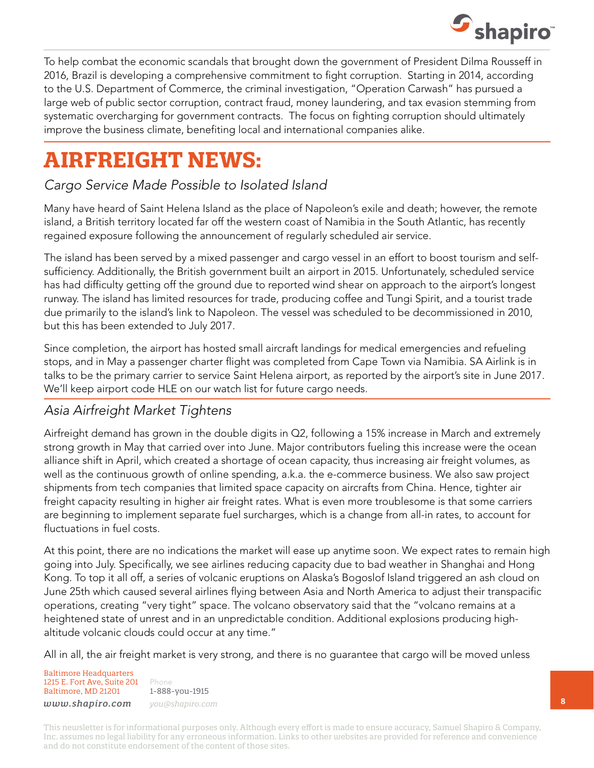

To help combat the economic scandals that brought down the government of President Dilma Rousseff in 2016, Brazil is developing a comprehensive commitment to fight corruption. Starting in 2014, according to the U.S. Department of Commerce, the criminal investigation, "Operation Carwash" has pursued a large web of public sector corruption, contract fraud, money laundering, and tax evasion stemming from systematic overcharging for government contracts. The focus on fighting corruption should ultimately improve the business climate, benefiting local and international companies alike.

# **AIRFREIGHT NEWS:**

## *Cargo Service Made Possible to Isolated Island*

Many have heard of Saint Helena Island as the place of Napoleon's exile and death; however, the remote island, a British territory located far off the western coast of Namibia in the South Atlantic, has recently regained exposure following the announcement of regularly scheduled air service.

The island has been served by a mixed passenger and cargo vessel in an effort to boost tourism and selfsufficiency. Additionally, the British government built an airport in 2015. Unfortunately, scheduled service has had difficulty getting off the ground due to reported wind shear on approach to the airport's longest runway. The island has limited resources for trade, producing coffee and Tungi Spirit, and a tourist trade due primarily to the island's link to Napoleon. The vessel was scheduled to be decommissioned in 2010, but this has been extended to July 2017.

Since completion, the airport has hosted small aircraft landings for medical emergencies and refueling stops, and in May a passenger charter flight was completed from Cape Town via Namibia. SA Airlink is in talks to be the primary carrier to service Saint Helena airport, as reported by the airport's site in June 2017. We'll keep airport code HLE on our watch list for future cargo needs.

## *Asia Airfreight Market Tightens*

Airfreight demand has grown in the double digits in Q2, following a 15% increase in March and extremely strong growth in May that carried over into June. Major contributors fueling this increase were the ocean alliance shift in April, which created a shortage of ocean capacity, thus increasing air freight volumes, as well as the continuous growth of online spending, a.k.a. the e-commerce business. We also saw project shipments from tech companies that limited space capacity on aircrafts from China. Hence, tighter air freight capacity resulting in higher air freight rates. What is even more troublesome is that some carriers are beginning to implement separate fuel surcharges, which is a change from all-in rates, to account for fluctuations in fuel costs.

At this point, there are no indications the market will ease up anytime soon. We expect rates to remain high going into July. Specifically, we see airlines reducing capacity due to bad weather in Shanghai and Hong Kong. To top it all off, a series of volcanic eruptions on Alaska's Bogoslof Island triggered an ash cloud on June 25th which caused several airlines flying between Asia and North America to adjust their transpacific operations, creating "very tight" space. The volcano observatory said that the "volcano remains at a heightened state of unrest and in an unpredictable condition. Additional explosions producing highaltitude volcanic clouds could occur at any time."

All in all, the air freight market is very strong, and there is no guarantee that cargo will be moved unless

Baltimore Headquarters 1215 E. Fort Ave, Suite 201 Baltimore, MD 21201 *www.shapiro.com you@shapiro.com*

Phone 1-888-you-1915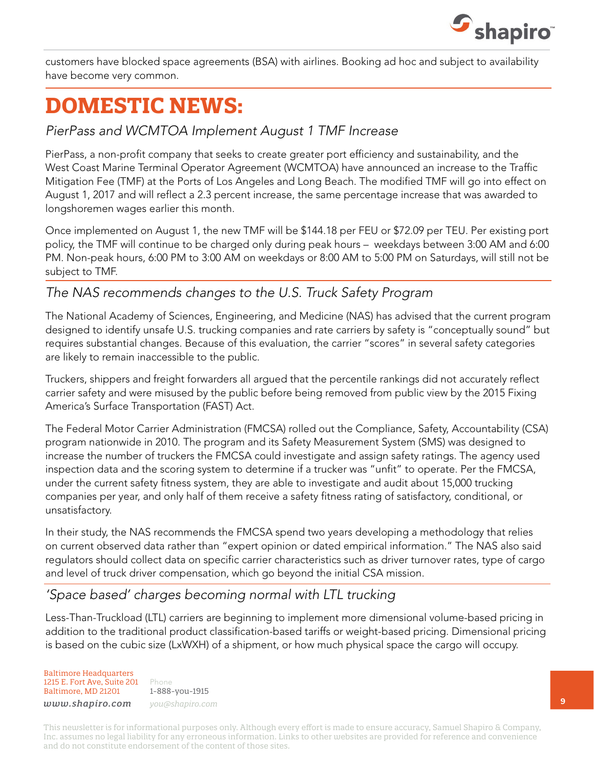

customers have blocked space agreements (BSA) with airlines. Booking ad hoc and subject to availability have become very common.

# **DOMESTIC NEWS:**

#### *PierPass and WCMTOA Implement August 1 TMF Increase*

PierPass, a non-profit company that seeks to create greater port efficiency and sustainability, and the West Coast Marine Terminal Operator Agreement (WCMTOA) have announced an increase to the Traffic Mitigation Fee (TMF) at the Ports of Los Angeles and Long Beach. The modified TMF will go into effect on August 1, 2017 and will reflect a 2.3 percent increase, the same percentage increase that was awarded to longshoremen wages earlier this month.

Once implemented on August 1, the new TMF will be \$144.18 per FEU or \$72.09 per TEU. Per existing port policy, the TMF will continue to be charged only during peak hours – weekdays between 3:00 AM and 6:00 PM. Non-peak hours, 6:00 PM to 3:00 AM on weekdays or 8:00 AM to 5:00 PM on Saturdays, will still not be subject to TMF.

### *The NAS recommends changes to the U.S. Truck Safety Program*

The National Academy of Sciences, Engineering, and Medicine (NAS) has advised that the current program designed to identify unsafe U.S. trucking companies and rate carriers by safety is "conceptually sound" but requires substantial changes. Because of this evaluation, the carrier "scores" in several safety categories are likely to remain inaccessible to the public.

Truckers, shippers and freight forwarders all argued that the percentile rankings did not accurately reflect carrier safety and were misused by the public before being removed from public view by the 2015 Fixing America's Surface Transportation (FAST) Act.

The Federal Motor Carrier Administration (FMCSA) rolled out the Compliance, Safety, Accountability (CSA) program nationwide in 2010. The program and its Safety Measurement System (SMS) was designed to increase the number of truckers the FMCSA could investigate and assign safety ratings. The agency used inspection data and the scoring system to determine if a trucker was "unfit" to operate. Per the FMCSA, under the current safety fitness system, they are able to investigate and audit about 15,000 trucking companies per year, and only half of them receive a safety fitness rating of satisfactory, conditional, or unsatisfactory.

In their study, the NAS recommends the FMCSA spend two years developing a methodology that relies on current observed data rather than "expert opinion or dated empirical information." The NAS also said regulators should collect data on specific carrier characteristics such as driver turnover rates, type of cargo and level of truck driver compensation, which go beyond the initial CSA mission.

### *'Space based' charges becoming normal with LTL trucking*

Less-Than-Truckload (LTL) carriers are beginning to implement more dimensional volume-based pricing in addition to the traditional product classification-based tariffs or weight-based pricing. Dimensional pricing is based on the cubic size (LxWXH) of a shipment, or how much physical space the cargo will occupy.

Baltimore Headquarters 1215 E. Fort Ave, Suite 201 Baltimore, MD 21201

Phone 1-888-you-1915 *www.shapiro.com you@shapiro.com*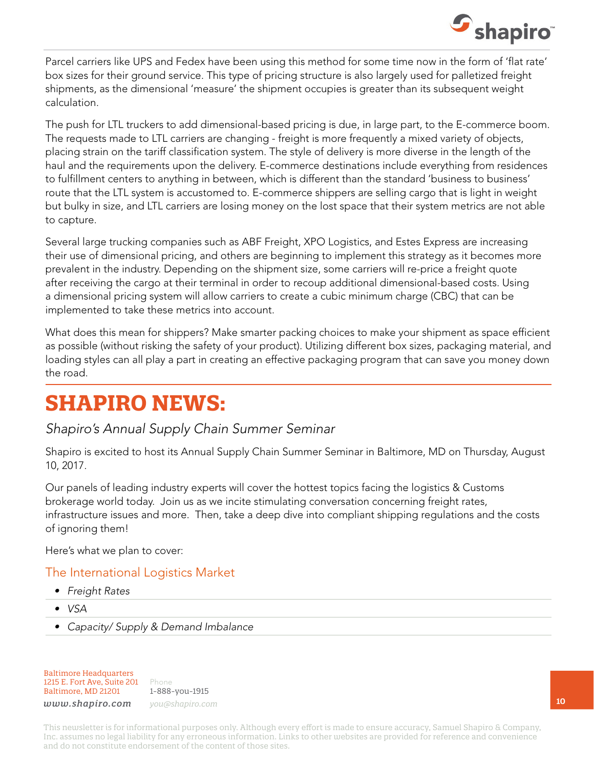

Parcel carriers like UPS and Fedex have been using this method for some time now in the form of 'flat rate' box sizes for their ground service. This type of pricing structure is also largely used for palletized freight shipments, as the dimensional 'measure' the shipment occupies is greater than its subsequent weight calculation.

The push for LTL truckers to add dimensional-based pricing is due, in large part, to the E-commerce boom. The requests made to LTL carriers are changing - freight is more frequently a mixed variety of objects, placing strain on the tariff classification system. The style of delivery is more diverse in the length of the haul and the requirements upon the delivery. E-commerce destinations include everything from residences to fulfillment centers to anything in between, which is different than the standard 'business to business' route that the LTL system is accustomed to. E-commerce shippers are selling cargo that is light in weight but bulky in size, and LTL carriers are losing money on the lost space that their system metrics are not able to capture.

Several large trucking companies such as ABF Freight, XPO Logistics, and Estes Express are increasing their use of dimensional pricing, and others are beginning to implement this strategy as it becomes more prevalent in the industry. Depending on the shipment size, some carriers will re-price a freight quote after receiving the cargo at their terminal in order to recoup additional dimensional-based costs. Using a dimensional pricing system will allow carriers to create a cubic minimum charge (CBC) that can be implemented to take these metrics into account.

What does this mean for shippers? Make smarter packing choices to make your shipment as space efficient as possible (without risking the safety of your product). Utilizing different box sizes, packaging material, and loading styles can all play a part in creating an effective packaging program that can save you money down the road.

# **SHAPIRO NEWS:**

*Shapiro's Annual Supply Chain Summer Seminar* 

Shapiro is excited to host its Annual Supply Chain Summer Seminar in Baltimore, MD on Thursday, August 10, 2017.

Our panels of leading industry experts will cover the hottest topics facing the logistics & Customs brokerage world today. Join us as we incite stimulating conversation concerning freight rates, infrastructure issues and more. Then, take a deep dive into compliant shipping regulations and the costs of ignoring them!

Here's what we plan to cover:

#### The International Logistics Market

- *• Freight Rates*
- *• VSA*
- *• Capacity/ Supply & Demand Imbalance*

Baltimore Headquarters 1215 E. Fort Ave, Suite 201 Baltimore, MD 21201

Phone 1-888-you-1915 *www.shapiro.com you@shapiro.com*